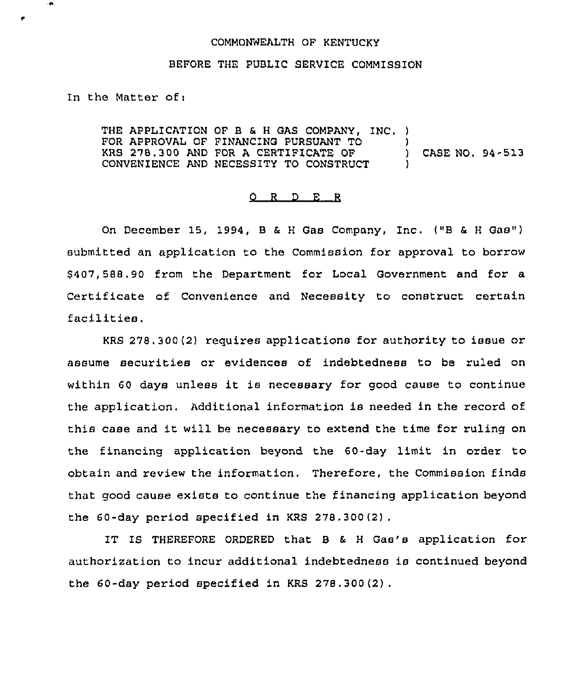## COMMONWEALTH OF KENTUCKY

## BEFORE THE PUBLIC SERVICE COMMISSION

In the Matter of:

THE APPLICATION OF B & <sup>H</sup> GAS COMPANY, INC. ) FOR APPROVAL OF FINANCING PURSUANT TO ) KRS 278.300 AND FOR <sup>A</sup> CERTIPICATE OF ) CASE NO. 94-513 CONVENIENCE AND NECESSITY TO CONSTRUCT

## 0 <sup>R</sup> <sup>D</sup> F. <sup>R</sup>

On December 15, 1994, <sup>B</sup> & <sup>H</sup> Gas Company, Inc. ("B & <sup>H</sup> Gas") submitted an application to the Commission for approval to borrow 8407, 588 .90 from the Department for Local Government and for a Certificate of Convenience and Necessity to construct certain facilities,

KRS 278.300(2) requires applications for authority to issue or assume securities or evidences of indebtedness to be ruled on within <sup>60</sup> days unless it is necessary for good cause to continue the application. Additional information is needed in the record of this case and it will be necessary to extend the time for ruling on the financing application beyond the 60-day limit in order to obtain and review the information. Therefore, the Commission finds that good cause exists to continue the financing application beyond the 60-day period specified in KRS 278.300(2) .

IT IS THEREFORE ORDERED that B & H Gas's application for authorization to incur additional indebtedness is continued beyond the 60-day period specified in KRS 278 .300 {2).